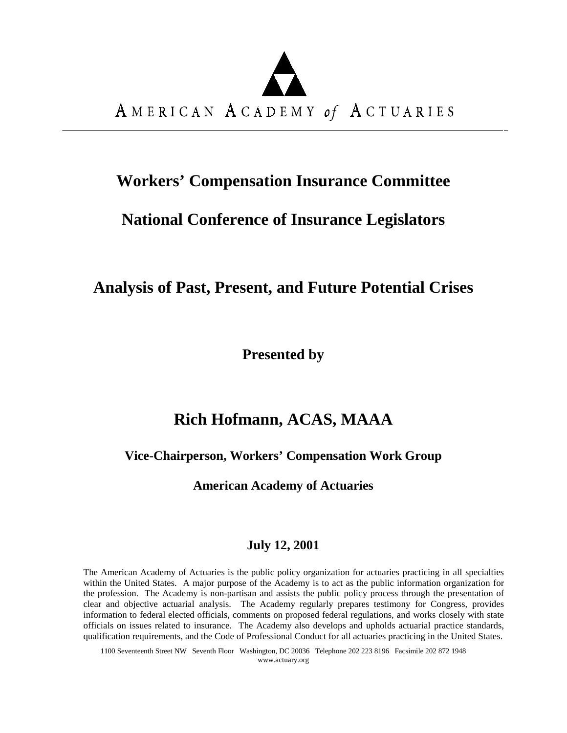# AMERICAN ACADEMY of ACTUARIES

# **Workers' Compensation Insurance Committee**

## **National Conference of Insurance Legislators**

## **Analysis of Past, Present, and Future Potential Crises**

**Presented by**

## **Rich Hofmann, ACAS, MAAA**

### **Vice-Chairperson, Workers' Compensation Work Group**

**American Academy of Actuaries**

## **July 12, 2001**

The American Academy of Actuaries is the public policy organization for actuaries practicing in all specialties within the United States. A major purpose of the Academy is to act as the public information organization for the profession. The Academy is non-partisan and assists the public policy process through the presentation of clear and objective actuarial analysis. The Academy regularly prepares testimony for Congress, provides information to federal elected officials, comments on proposed federal regulations, and works closely with state officials on issues related to insurance. The Academy also develops and upholds actuarial practice standards, qualification requirements, and the Code of Professional Conduct for all actuaries practicing in the United States.

1100 Seventeenth Street NW Seventh Floor Washington, DC 20036 Telephone 202 223 8196 Facsimile 202 872 1948 www.actuary.org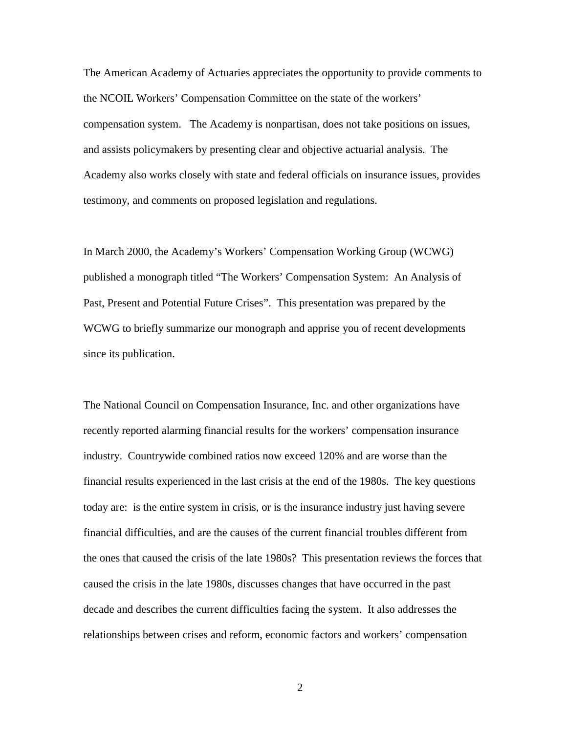The American Academy of Actuaries appreciates the opportunity to provide comments to the NCOIL Workers' Compensation Committee on the state of the workers' compensation system. The Academy is nonpartisan, does not take positions on issues, and assists policymakers by presenting clear and objective actuarial analysis. The Academy also works closely with state and federal officials on insurance issues, provides testimony, and comments on proposed legislation and regulations.

In March 2000, the Academy's Workers' Compensation Working Group (WCWG) published a monograph titled "The Workers' Compensation System: An Analysis of Past, Present and Potential Future Crises". This presentation was prepared by the WCWG to briefly summarize our monograph and apprise you of recent developments since its publication.

The National Council on Compensation Insurance, Inc. and other organizations have recently reported alarming financial results for the workers' compensation insurance industry. Countrywide combined ratios now exceed 120% and are worse than the financial results experienced in the last crisis at the end of the 1980s. The key questions today are: is the entire system in crisis, or is the insurance industry just having severe financial difficulties, and are the causes of the current financial troubles different from the ones that caused the crisis of the late 1980s? This presentation reviews the forces that caused the crisis in the late 1980s, discusses changes that have occurred in the past decade and describes the current difficulties facing the system. It also addresses the relationships between crises and reform, economic factors and workers' compensation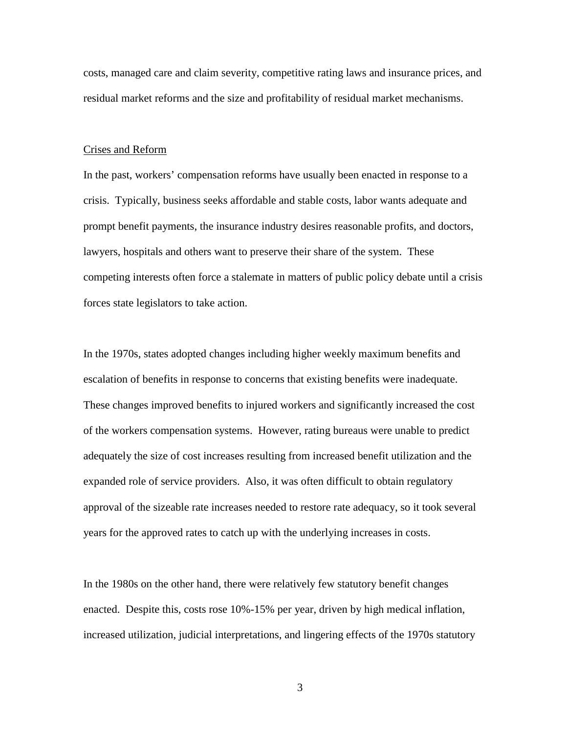costs, managed care and claim severity, competitive rating laws and insurance prices, and residual market reforms and the size and profitability of residual market mechanisms.

#### Crises and Reform

In the past, workers' compensation reforms have usually been enacted in response to a crisis. Typically, business seeks affordable and stable costs, labor wants adequate and prompt benefit payments, the insurance industry desires reasonable profits, and doctors, lawyers, hospitals and others want to preserve their share of the system. These competing interests often force a stalemate in matters of public policy debate until a crisis forces state legislators to take action.

In the 1970s, states adopted changes including higher weekly maximum benefits and escalation of benefits in response to concerns that existing benefits were inadequate. These changes improved benefits to injured workers and significantly increased the cost of the workers compensation systems. However, rating bureaus were unable to predict adequately the size of cost increases resulting from increased benefit utilization and the expanded role of service providers. Also, it was often difficult to obtain regulatory approval of the sizeable rate increases needed to restore rate adequacy, so it took several years for the approved rates to catch up with the underlying increases in costs.

In the 1980s on the other hand, there were relatively few statutory benefit changes enacted. Despite this, costs rose 10%-15% per year, driven by high medical inflation, increased utilization, judicial interpretations, and lingering effects of the 1970s statutory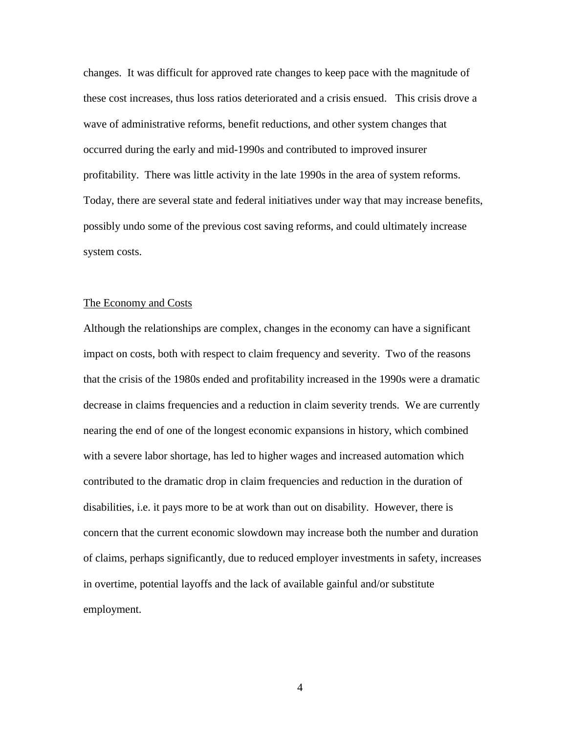changes. It was difficult for approved rate changes to keep pace with the magnitude of these cost increases, thus loss ratios deteriorated and a crisis ensued. This crisis drove a wave of administrative reforms, benefit reductions, and other system changes that occurred during the early and mid-1990s and contributed to improved insurer profitability. There was little activity in the late 1990s in the area of system reforms. Today, there are several state and federal initiatives under way that may increase benefits, possibly undo some of the previous cost saving reforms, and could ultimately increase system costs.

#### The Economy and Costs

Although the relationships are complex, changes in the economy can have a significant impact on costs, both with respect to claim frequency and severity. Two of the reasons that the crisis of the 1980s ended and profitability increased in the 1990s were a dramatic decrease in claims frequencies and a reduction in claim severity trends. We are currently nearing the end of one of the longest economic expansions in history, which combined with a severe labor shortage, has led to higher wages and increased automation which contributed to the dramatic drop in claim frequencies and reduction in the duration of disabilities, i.e. it pays more to be at work than out on disability. However, there is concern that the current economic slowdown may increase both the number and duration of claims, perhaps significantly, due to reduced employer investments in safety, increases in overtime, potential layoffs and the lack of available gainful and/or substitute employment.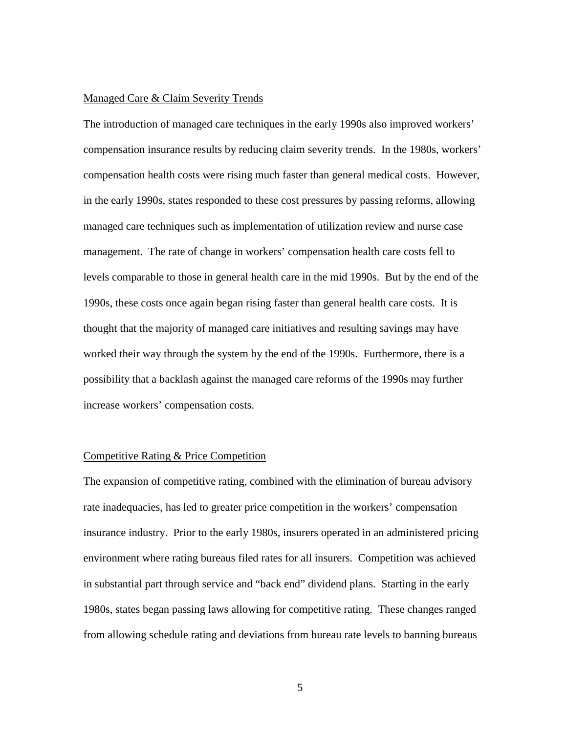#### Managed Care & Claim Severity Trends

The introduction of managed care techniques in the early 1990s also improved workers' compensation insurance results by reducing claim severity trends. In the 1980s, workers' compensation health costs were rising much faster than general medical costs. However, in the early 1990s, states responded to these cost pressures by passing reforms, allowing managed care techniques such as implementation of utilization review and nurse case management. The rate of change in workers' compensation health care costs fell to levels comparable to those in general health care in the mid 1990s. But by the end of the 1990s, these costs once again began rising faster than general health care costs. It is thought that the majority of managed care initiatives and resulting savings may have worked their way through the system by the end of the 1990s. Furthermore, there is a possibility that a backlash against the managed care reforms of the 1990s may further increase workers' compensation costs.

#### Competitive Rating & Price Competition

The expansion of competitive rating, combined with the elimination of bureau advisory rate inadequacies, has led to greater price competition in the workers' compensation insurance industry. Prior to the early 1980s, insurers operated in an administered pricing environment where rating bureaus filed rates for all insurers. Competition was achieved in substantial part through service and "back end" dividend plans. Starting in the early 1980s, states began passing laws allowing for competitive rating. These changes ranged from allowing schedule rating and deviations from bureau rate levels to banning bureaus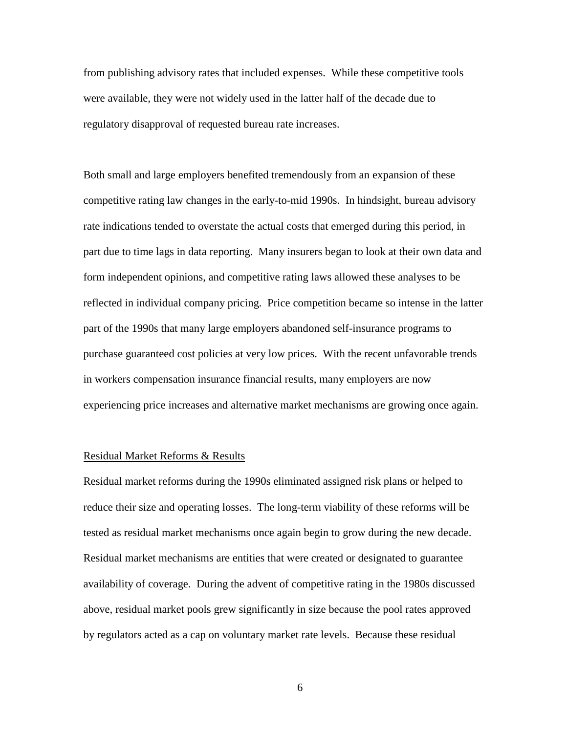from publishing advisory rates that included expenses. While these competitive tools were available, they were not widely used in the latter half of the decade due to regulatory disapproval of requested bureau rate increases.

Both small and large employers benefited tremendously from an expansion of these competitive rating law changes in the early-to-mid 1990s. In hindsight, bureau advisory rate indications tended to overstate the actual costs that emerged during this period, in part due to time lags in data reporting. Many insurers began to look at their own data and form independent opinions, and competitive rating laws allowed these analyses to be reflected in individual company pricing. Price competition became so intense in the latter part of the 1990s that many large employers abandoned self-insurance programs to purchase guaranteed cost policies at very low prices. With the recent unfavorable trends in workers compensation insurance financial results, many employers are now experiencing price increases and alternative market mechanisms are growing once again.

#### Residual Market Reforms & Results

Residual market reforms during the 1990s eliminated assigned risk plans or helped to reduce their size and operating losses. The long-term viability of these reforms will be tested as residual market mechanisms once again begin to grow during the new decade. Residual market mechanisms are entities that were created or designated to guarantee availability of coverage. During the advent of competitive rating in the 1980s discussed above, residual market pools grew significantly in size because the pool rates approved by regulators acted as a cap on voluntary market rate levels. Because these residual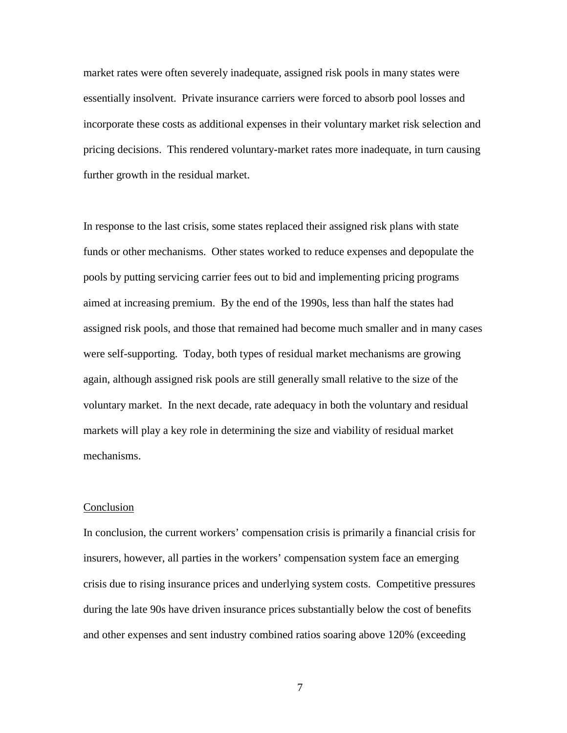market rates were often severely inadequate, assigned risk pools in many states were essentially insolvent. Private insurance carriers were forced to absorb pool losses and incorporate these costs as additional expenses in their voluntary market risk selection and pricing decisions. This rendered voluntary-market rates more inadequate, in turn causing further growth in the residual market.

In response to the last crisis, some states replaced their assigned risk plans with state funds or other mechanisms. Other states worked to reduce expenses and depopulate the pools by putting servicing carrier fees out to bid and implementing pricing programs aimed at increasing premium. By the end of the 1990s, less than half the states had assigned risk pools, and those that remained had become much smaller and in many cases were self-supporting. Today, both types of residual market mechanisms are growing again, although assigned risk pools are still generally small relative to the size of the voluntary market. In the next decade, rate adequacy in both the voluntary and residual markets will play a key role in determining the size and viability of residual market mechanisms.

#### **Conclusion**

In conclusion, the current workers' compensation crisis is primarily a financial crisis for insurers, however, all parties in the workers' compensation system face an emerging crisis due to rising insurance prices and underlying system costs. Competitive pressures during the late 90s have driven insurance prices substantially below the cost of benefits and other expenses and sent industry combined ratios soaring above 120% (exceeding